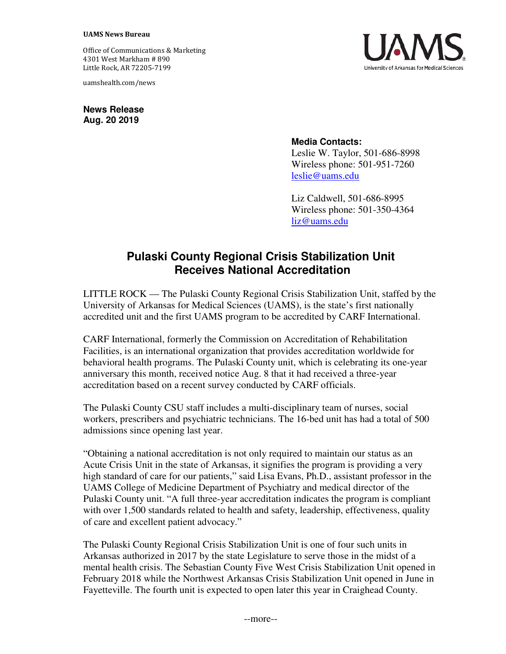Office of Communications & Marketing 4301 West Markham # 890 Little Rock, AR 72205-7199

uamshealth.com/news

**News Release Aug. 20 2019**



## **Media Contacts:**

Leslie W. Taylor, 501-686-8998 Wireless phone: 501-951-7260 [leslie@uams.edu](mailto:leslie@uams.edu)

Liz Caldwell, 501-686-8995 Wireless phone: 501-350-4364 [liz@uams.edu](mailto:liz@uams.edu)

## **Pulaski County Regional Crisis Stabilization Unit Receives National Accreditation**

LITTLE ROCK — The Pulaski County Regional Crisis Stabilization Unit, staffed by the University of Arkansas for Medical Sciences (UAMS), is the state's first nationally accredited unit and the first UAMS program to be accredited by CARF International.

CARF International, formerly the Commission on Accreditation of Rehabilitation Facilities, is an international organization that provides accreditation worldwide for behavioral health programs. The Pulaski County unit, which is celebrating its one-year anniversary this month, received notice Aug. 8 that it had received a three-year accreditation based on a recent survey conducted by CARF officials.

The Pulaski County CSU staff includes a multi-disciplinary team of nurses, social workers, prescribers and psychiatric technicians. The 16-bed unit has had a total of 500 admissions since opening last year.

"Obtaining a national accreditation is not only required to maintain our status as an Acute Crisis Unit in the state of Arkansas, it signifies the program is providing a very high standard of care for our patients," said Lisa Evans, Ph.D., assistant professor in the UAMS College of Medicine Department of Psychiatry and medical director of the Pulaski County unit. "A full three-year accreditation indicates the program is compliant with over 1,500 standards related to health and safety, leadership, effectiveness, quality of care and excellent patient advocacy."

The Pulaski County Regional Crisis Stabilization Unit is one of four such units in Arkansas authorized in 2017 by the state Legislature to serve those in the midst of a mental health crisis. The Sebastian County Five West Crisis Stabilization Unit opened in February 2018 while the Northwest Arkansas Crisis Stabilization Unit opened in June in Fayetteville. The fourth unit is expected to open later this year in Craighead County.